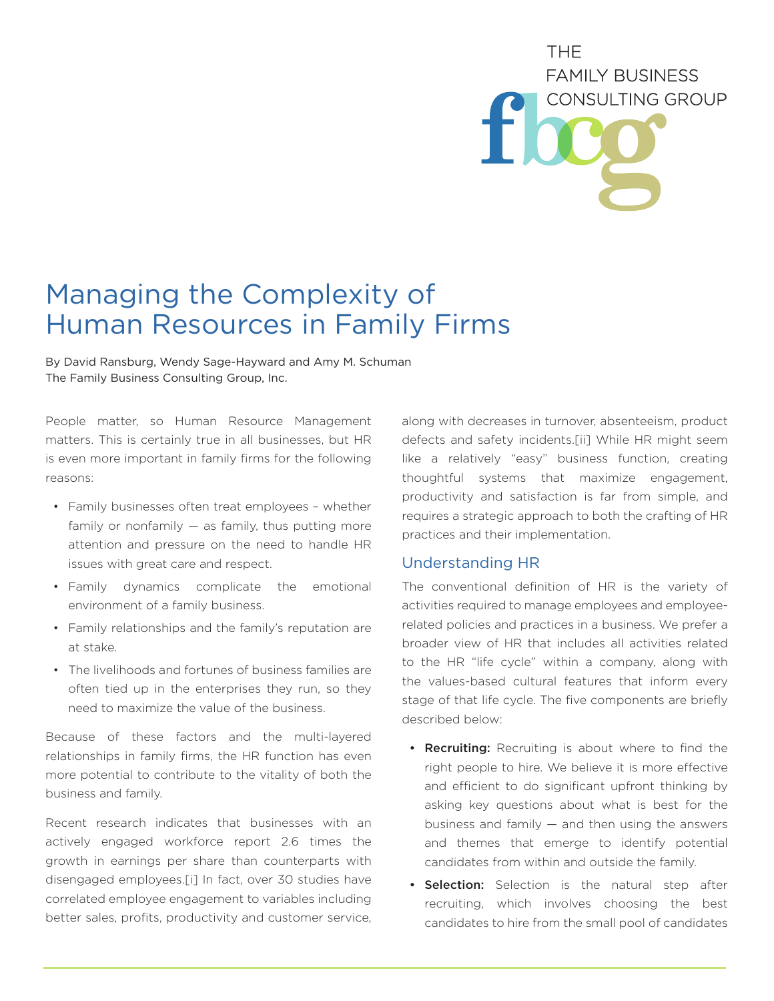# THE. **FAMILY BUSINESS CONSULTING GROUP**

# Managing the Complexity of Human Resources in Family Firms

By David Ransburg, Wendy Sage-Hayward and Amy M. Schuman The Family Business Consulting Group, Inc.

People matter, so Human Resource Management matters. This is certainly true in all businesses, but HR is even more important in family firms for the following reasons:

- Family businesses often treat employees whether family or nonfamily  $-$  as family, thus putting more attention and pressure on the need to handle HR issues with great care and respect.
- Family dynamics complicate the emotional environment of a family business.
- Family relationships and the family's reputation are at stake.
- The livelihoods and fortunes of business families are often tied up in the enterprises they run, so they need to maximize the value of the business.

Because of these factors and the multi-layered relationships in family firms, the HR function has even more potential to contribute to the vitality of both the business and family.

Recent research indicates that businesses with an actively engaged workforce report 2.6 times the growth in earnings per share than counterparts with disengaged employees.[i] In fact, over 30 studies have correlated employee engagement to variables including better sales, profits, productivity and customer service,

along with decreases in turnover, absenteeism, product defects and safety incidents.[ii] While HR might seem like a relatively "easy" business function, creating thoughtful systems that maximize engagement, productivity and satisfaction is far from simple, and requires a strategic approach to both the crafting of HR practices and their implementation.

## Understanding HR

The conventional definition of HR is the variety of activities required to manage employees and employeerelated policies and practices in a business. We prefer a broader view of HR that includes all activities related to the HR "life cycle" within a company, along with the values-based cultural features that inform every stage of that life cycle. The five components are briefly described below:

- Recruiting: Recruiting is about where to find the right people to hire. We believe it is more effective and efficient to do significant upfront thinking by asking key questions about what is best for the business and family  $-$  and then using the answers and themes that emerge to identify potential candidates from within and outside the family.
- **Selection:** Selection is the natural step after recruiting, which involves choosing the best candidates to hire from the small pool of candidates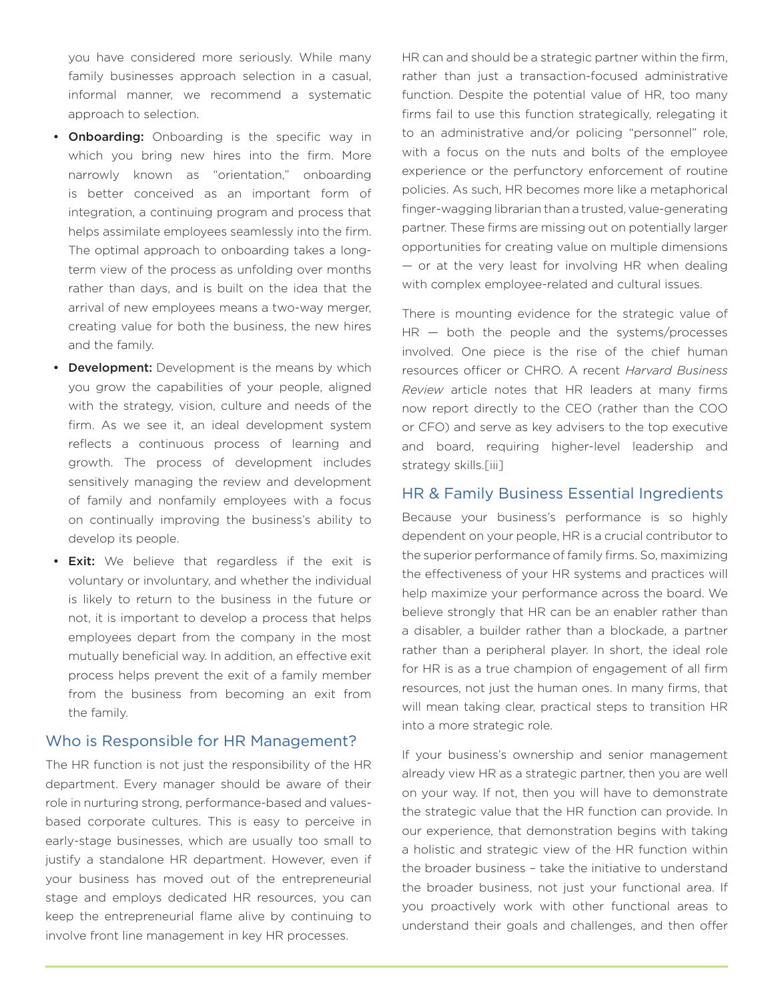you have considered more seriously. While many family businesses approach selection in a casual, informal manner, we recommend a systematic approach to selection.

- **Onboarding:** Onboarding is the specific way in which you bring new hires into the firm. More narrowly known as "orientation," onboarding is better conceived as an important form of integration, a continuing program and process that helps assimilate employees seamlessly into the firm. The optimal approach to onboarding takes a longterm view of the process as unfolding over months rather than days, and is built on the idea that the arrival of new employees means a two-way merger, creating value for both the business, the new hires and the family.
- Development: Development is the means by which you grow the capabilities of your people, aligned with the strategy, vision, culture and needs of the firm. As we see it, an ideal development system reflects a continuous process of learning and growth. The process of development includes sensitively managing the review and development of family and nonfamily employees with a focus on continually improving the business's ability to develop its people.
- **Exit:** We believe that regardless if the exit is voluntary or involuntary, and whether the individual is likely to return to the business in the future or not, it is important to develop a process that helps employees depart from the company in the most mutually beneficial way. In addition, an effective exit process helps prevent the exit of a family member from the business from becoming an exit from the family.

#### Who is Responsible for HR Management?

The HR function is not just the responsibility of the HR department. Every manager should be aware of their role in nurturing strong, performance-based and valuesbased corporate cultures. This is easy to perceive in early-stage businesses, which are usually too small to justify a standalone HR department. However, even if your business has moved out of the entrepreneurial stage and employs dedicated HR resources, you can keep the entrepreneurial flame alive by continuing to involve front line management in key HR processes.

HR can and should be a strategic partner within the firm, rather than just a transaction-focused administrative function. Despite the potential value of HR, too many firms fail to use this function strategically, relegating it to an administrative and/or policing "personnel" role, with a focus on the nuts and bolts of the employee experience or the perfunctory enforcement of routine policies. As such, HR becomes more like a metaphorical finger-wagging librarian than a trusted, value-generating partner. These firms are missing out on potentially larger opportunities for creating value on multiple dimensions — or at the very least for involving HR when dealing with complex employee-related and cultural issues.

There is mounting evidence for the strategic value of  $HR - both$  the people and the systems/processes involved. One piece is the rise of the chief human resources officer or CHRO. A recent *Harvard Business Review* article notes that HR leaders at many firms now report directly to the CEO (rather than the COO or CFO) and serve as key advisers to the top executive and board, requiring higher-level leadership and strategy skills.[iii]

#### HR & Family Business Essential Ingredients

Because your business's performance is so highly dependent on your people, HR is a crucial contributor to the superior performance of family firms. So, maximizing the effectiveness of your HR systems and practices will help maximize your performance across the board. We believe strongly that HR can be an enabler rather than a disabler, a builder rather than a blockade, a partner rather than a peripheral player. In short, the ideal role for HR is as a true champion of engagement of all firm resources, not just the human ones. In many firms, that will mean taking clear, practical steps to transition HR into a more strategic role.

If your business's ownership and senior management already view HR as a strategic partner, then you are well on your way. If not, then you will have to demonstrate the strategic value that the HR function can provide. In our experience, that demonstration begins with taking a holistic and strategic view of the HR function within the broader business – take the initiative to understand the broader business, not just your functional area. If you proactively work with other functional areas to understand their goals and challenges, and then offer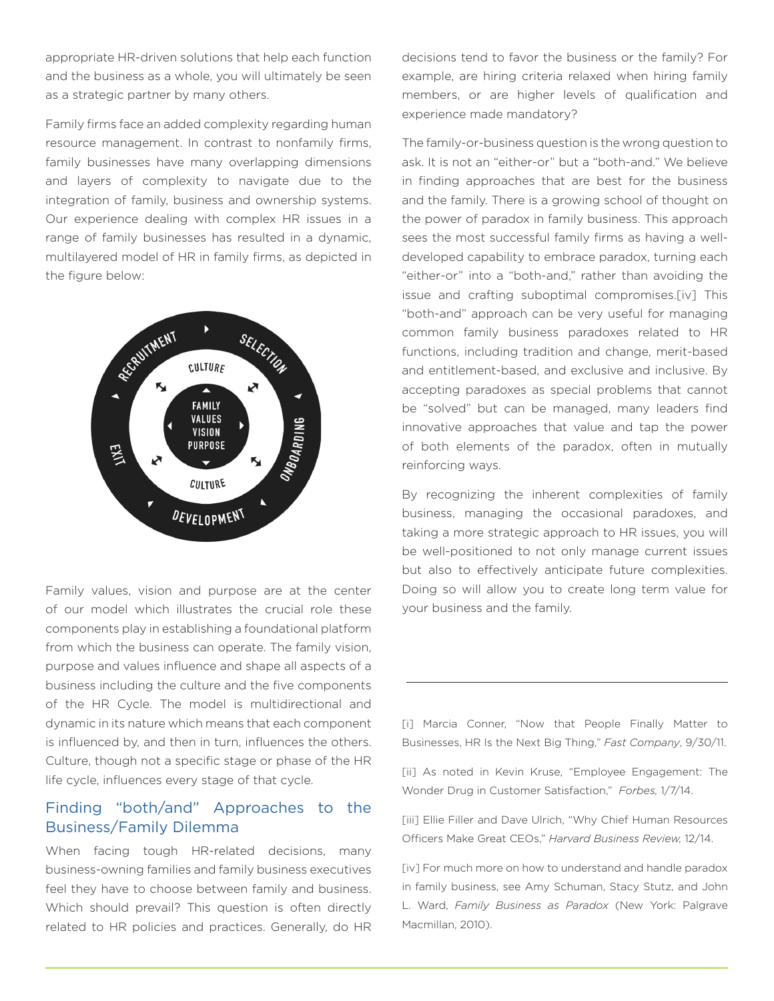appropriate HR-driven solutions that help each function and the business as a whole, you will ultimately be seen as a strategic partner by many others.

Family firms face an added complexity regarding human resource management. In contrast to nonfamily firms, family businesses have many overlapping dimensions and layers of complexity to navigate due to the integration of family, business and ownership systems. Our experience dealing with complex HR issues in a range of family businesses has resulted in a dynamic, multilayered model of HR in family firms, as depicted in the figure below:



Family values, vision and purpose are at the center of our model which illustrates the crucial role these components play in establishing a foundational platform from which the business can operate. The family vision, purpose and values influence and shape all aspects of a business including the culture and the five components of the HR Cycle. The model is multidirectional and dynamic in its nature which means that each component is influenced by, and then in turn, influences the others. Culture, though not a specific stage or phase of the HR life cycle, influences every stage of that cycle.

### Finding "both/and" Approaches to the Business/Family Dilemma

When facing tough HR-related decisions, many business-owning families and family business executives feel they have to choose between family and business. Which should prevail? This question is often directly related to HR policies and practices. Generally, do HR decisions tend to favor the business or the family? For example, are hiring criteria relaxed when hiring family members, or are higher levels of qualification and experience made mandatory?

The family-or-business question is the wrong question to ask. It is not an "either-or" but a "both-and." We believe in finding approaches that are best for the business and the family. There is a growing school of thought on the power of paradox in family business. This approach sees the most successful family firms as having a welldeveloped capability to embrace paradox, turning each "either-or" into a "both-and," rather than avoiding the issue and crafting suboptimal compromises.[iv] This "both-and" approach can be very useful for managing common family business paradoxes related to HR functions, including tradition and change, merit-based and entitlement-based, and exclusive and inclusive. By accepting paradoxes as special problems that cannot be "solved" but can be managed, many leaders find innovative approaches that value and tap the power of both elements of the paradox, often in mutually reinforcing ways.

By recognizing the inherent complexities of family business, managing the occasional paradoxes, and taking a more strategic approach to HR issues, you will be well-positioned to not only manage current issues but also to effectively anticipate future complexities. Doing so will allow you to create long term value for your business and the family.

[i] Marcia Conner, "Now that People Finally Matter to Businesses, HR Is the Next Big Thing," *Fast Company*, 9/30/11.

[ii] As noted in Kevin Kruse, "Employee Engagement: The Wonder Drug in Customer Satisfaction," *Forbes,* 1/7/14.

[iii] Ellie Filler and Dave Ulrich, "Why Chief Human Resources Officers Make Great CEOs," *Harvard Business Review,* 12/14.

[iv] For much more on how to understand and handle paradox in family business, see Amy Schuman, Stacy Stutz, and John L. Ward, *Family Business as Paradox* (New York: Palgrave Macmillan, 2010).